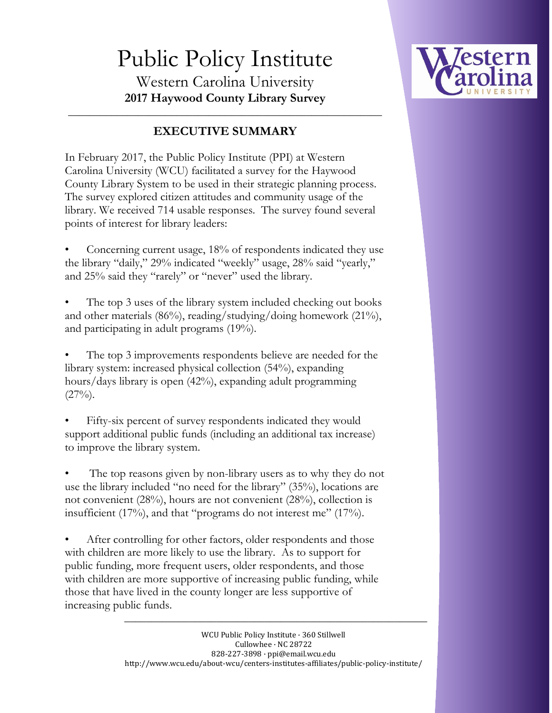# Public Policy Institute Western Carolina University **2017 Haywood County Library Survey**



### **EXECUTIVE SUMMARY**

\_\_\_\_\_\_\_\_\_\_\_\_\_\_\_\_\_\_\_\_\_\_\_\_\_\_\_\_\_\_\_\_\_\_\_\_\_\_\_\_\_\_\_\_\_\_\_\_\_\_\_\_\_\_\_\_\_\_

In February 2017, the Public Policy Institute (PPI) at Western Carolina University (WCU) facilitated a survey for the Haywood County Library System to be used in their strategic planning process. The survey explored citizen attitudes and community usage of the library. We received 714 usable responses. The survey found several points of interest for library leaders:

• Concerning current usage, 18% of respondents indicated they use the library "daily," 29% indicated "weekly" usage, 28% said "yearly," and 25% said they "rarely" or "never" used the library.

The top 3 uses of the library system included checking out books and other materials (86%), reading/studying/doing homework (21%), and participating in adult programs (19%).

The top 3 improvements respondents believe are needed for the library system: increased physical collection (54%), expanding hours/days library is open (42%), expanding adult programming  $(27\%)$ .

Fifty-six percent of survey respondents indicated they would support additional public funds (including an additional tax increase) to improve the library system.

The top reasons given by non-library users as to why they do not use the library included "no need for the library" (35%), locations are not convenient (28%), hours are not convenient (28%), collection is insufficient (17%), and that "programs do not interest me" (17%).

After controlling for other factors, older respondents and those with children are more likely to use the library. As to support for public funding, more frequent users, older respondents, and those with children are more supportive of increasing public funding, while those that have lived in the county longer are less supportive of increasing public funds.

**\_\_\_\_\_\_\_\_\_\_\_\_\_\_\_\_\_\_\_\_\_\_\_\_\_\_\_\_\_\_\_\_\_\_\_\_\_\_\_\_\_\_\_\_\_\_\_\_\_\_\_\_\_\_\_\_**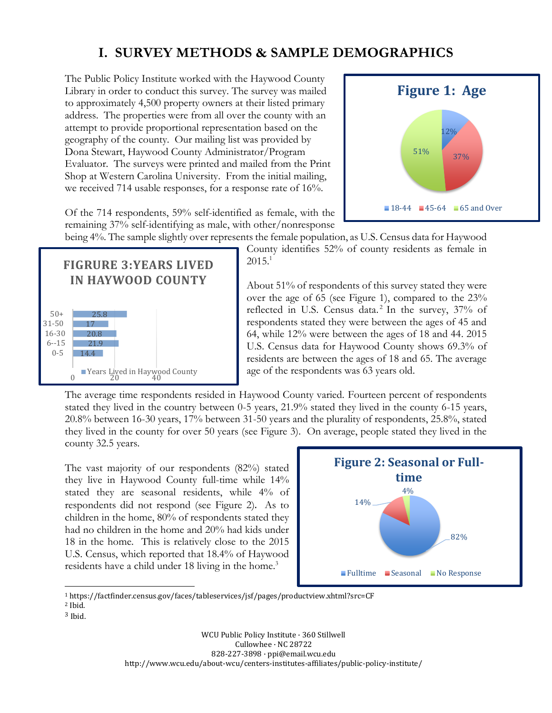## **I. SURVEY METHODS & SAMPLE DEMOGRAPHICS**

The Public Policy Institute worked with the Haywood County Library in order to conduct this survey. The survey was mailed to approximately 4,500 property owners at their listed primary address. The properties were from all over the county with an attempt to provide proportional representation based on the geography of the county. Our mailing list was provided by Dona Stewart, Haywood County Administrator/Program Evaluator. The surveys were printed and mailed from the Print Shop at Western Carolina University. From the initial mailing, we received 714 usable responses, for a response rate of 16%.



Of the 714 respondents, 59% self-identified as female, with the remaining 37% self-identifying as male, with other/nonresponse



being 4%. The sample slightly over represents the female population, as U.S. Census data for Haywood County identifies 52% of county residents as female in  $2015.<sup>1</sup>$ 

> About 51% of respondents of this survey stated they were over the age of 65 (see Figure 1), compared to the 23% reflected in U.S. Census data.<sup>2</sup> In the survey, 37% of respondents stated they were between the ages of 45 and 64, while 12% were between the ages of 18 and 44. 2015 U.S. Census data for Haywood County shows 69.3% of residents are between the ages of 18 and 65. The average age of the respondents was 63 years old.

The average time respondents resided in Haywood County varied. Fourteen percent of respondents stated they lived in the country between 0-5 years, 21.9% stated they lived in the county 6-15 years, 20.8% between 16-30 years, 17% between 31-50 years and the plurality of respondents, 25.8%, stated they lived in the county for over 50 years (see Figure 3). On average, people stated they lived in the county 32.5 years.

The vast majority of our respondents (82%) stated they live in Haywood County full-time while 14% stated they are seasonal residents, while 4% of respondents did not respond (see Figure 2). As to children in the home, 80% of respondents stated they had no children in the home and 20% had kids under 18 in the home. This is relatively close to the 2015 U.S. Census, which reported that 18.4% of Haywood residents have a child under 18 living in the home.<sup>3</sup>



<sup>1</sup> https://factfinder.census.gov/faces/tableservices/jsf/pages/productview.xhtml?src=CF

 $\overline{\phantom{a}}$ 

3 Ibid.

<sup>2</sup> Ibid.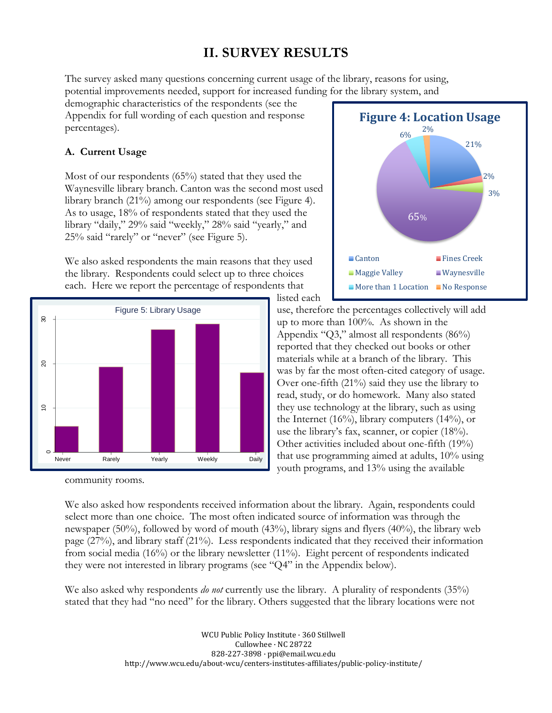# **II. SURVEY RESULTS**

The survey asked many questions concerning current usage of the library, reasons for using, potential improvements needed, support for increased funding for the library system, and

demographic characteristics of the respondents (see the Appendix for full wording of each question and response percentages).

### **A. Current Usage**

Most of our respondents (65%) stated that they used the Waynesville library branch. Canton was the second most used library branch (21%) among our respondents (see Figure 4). As to usage, 18% of respondents stated that they used the library "daily," 29% said "weekly," 28% said "yearly," and 25% said "rarely" or "never" (see Figure 5).

We also asked respondents the main reasons that they used the library. Respondents could select up to three choices each. Here we report the percentage of respondents that



community rooms.



listed each use, therefore the percentages collectively will add up to more than 100%. As shown in the Appendix "Q3," almost all respondents (86%) reported that they checked out books or other materials while at a branch of the library. This was by far the most often-cited category of usage. Over one-fifth (21%) said they use the library to read, study, or do homework. Many also stated they use technology at the library, such as using the Internet (16%), library computers (14%), or use the library's fax, scanner, or copier (18%). Other activities included about one-fifth (19%) that use programming aimed at adults, 10% using youth programs, and 13% using the available

We also asked how respondents received information about the library. Again, respondents could select more than one choice. The most often indicated source of information was through the newspaper (50%), followed by word of mouth (43%), library signs and flyers (40%), the library web page (27%), and library staff (21%). Less respondents indicated that they received their information from social media (16%) or the library newsletter (11%). Eight percent of respondents indicated they were not interested in library programs (see "Q4" in the Appendix below).

We also asked why respondents *do not* currently use the library. A plurality of respondents (35%) stated that they had "no need" for the library. Others suggested that the library locations were not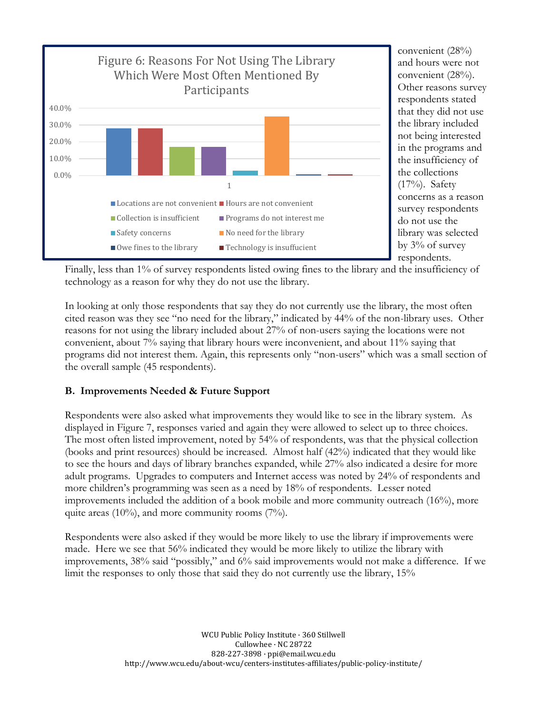

convenient (28%) and hours were not convenient (28%). Other reasons survey respondents stated that they did not use the library included not being interested in the programs and the insufficiency of the collections (17%). Safety concerns as a reason survey respondents do not use the library was selected by 3% of survey respondents.

Finally, less than 1% of survey respondents listed owing fines to the library and the insufficiency of technology as a reason for why they do not use the library.

In looking at only those respondents that say they do not currently use the library, the most often cited reason was they see "no need for the library," indicated by 44% of the non-library uses. Other reasons for not using the library included about 27% of non-users saying the locations were not convenient, about 7% saying that library hours were inconvenient, and about 11% saying that programs did not interest them. Again, this represents only "non-users" which was a small section of the overall sample (45 respondents).

### **B. Improvements Needed & Future Support**

Respondents were also asked what improvements they would like to see in the library system. As displayed in Figure 7, responses varied and again they were allowed to select up to three choices. The most often listed improvement, noted by 54% of respondents, was that the physical collection (books and print resources) should be increased. Almost half (42%) indicated that they would like to see the hours and days of library branches expanded, while 27% also indicated a desire for more adult programs. Upgrades to computers and Internet access was noted by 24% of respondents and more children's programming was seen as a need by 18% of respondents. Lesser noted improvements included the addition of a book mobile and more community outreach (16%), more quite areas (10%), and more community rooms (7%).

Respondents were also asked if they would be more likely to use the library if improvements were made. Here we see that 56% indicated they would be more likely to utilize the library with improvements, 38% said "possibly," and 6% said improvements would not make a difference. If we limit the responses to only those that said they do not currently use the library, 15%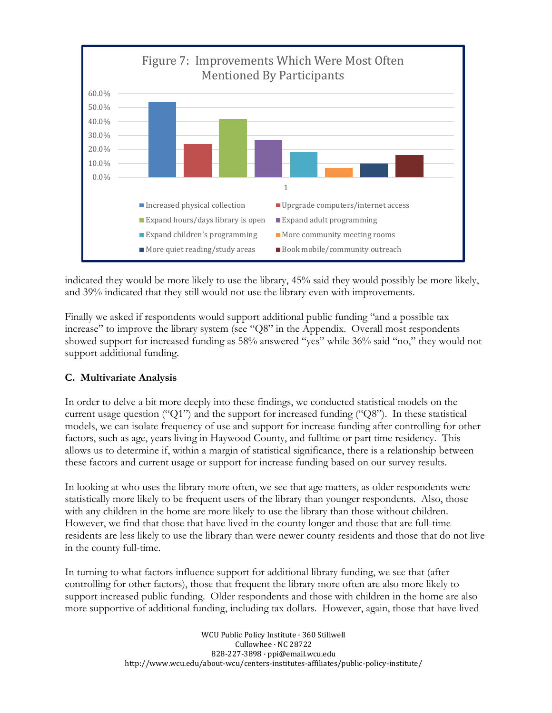

indicated they would be more likely to use the library, 45% said they would possibly be more likely, and 39% indicated that they still would not use the library even with improvements.

Finally we asked if respondents would support additional public funding "and a possible tax increase" to improve the library system (see "Q8" in the Appendix. Overall most respondents showed support for increased funding as 58% answered "yes" while 36% said "no," they would not support additional funding.

### **C. Multivariate Analysis**

In order to delve a bit more deeply into these findings, we conducted statistical models on the current usage question ("Q1") and the support for increased funding ("Q8"). In these statistical models, we can isolate frequency of use and support for increase funding after controlling for other factors, such as age, years living in Haywood County, and fulltime or part time residency. This allows us to determine if, within a margin of statistical significance, there is a relationship between these factors and current usage or support for increase funding based on our survey results.

In looking at who uses the library more often, we see that age matters, as older respondents were statistically more likely to be frequent users of the library than younger respondents. Also, those with any children in the home are more likely to use the library than those without children. However, we find that those that have lived in the county longer and those that are full-time residents are less likely to use the library than were newer county residents and those that do not live in the county full-time.

In turning to what factors influence support for additional library funding, we see that (after controlling for other factors), those that frequent the library more often are also more likely to support increased public funding. Older respondents and those with children in the home are also more supportive of additional funding, including tax dollars. However, again, those that have lived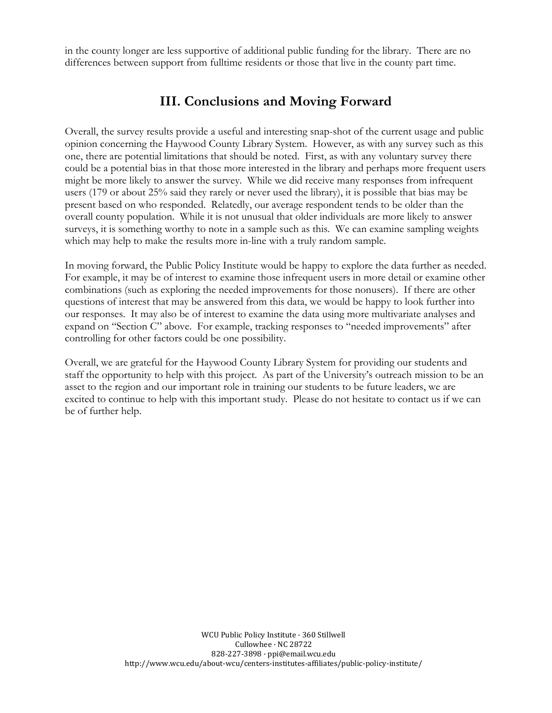in the county longer are less supportive of additional public funding for the library. There are no differences between support from fulltime residents or those that live in the county part time.

### **III. Conclusions and Moving Forward**

Overall, the survey results provide a useful and interesting snap-shot of the current usage and public opinion concerning the Haywood County Library System. However, as with any survey such as this one, there are potential limitations that should be noted. First, as with any voluntary survey there could be a potential bias in that those more interested in the library and perhaps more frequent users might be more likely to answer the survey. While we did receive many responses from infrequent users (179 or about 25% said they rarely or never used the library), it is possible that bias may be present based on who responded. Relatedly, our average respondent tends to be older than the overall county population. While it is not unusual that older individuals are more likely to answer surveys, it is something worthy to note in a sample such as this. We can examine sampling weights which may help to make the results more in-line with a truly random sample.

In moving forward, the Public Policy Institute would be happy to explore the data further as needed. For example, it may be of interest to examine those infrequent users in more detail or examine other combinations (such as exploring the needed improvements for those nonusers). If there are other questions of interest that may be answered from this data, we would be happy to look further into our responses. It may also be of interest to examine the data using more multivariate analyses and expand on "Section C" above. For example, tracking responses to "needed improvements" after controlling for other factors could be one possibility.

Overall, we are grateful for the Haywood County Library System for providing our students and staff the opportunity to help with this project. As part of the University's outreach mission to be an asset to the region and our important role in training our students to be future leaders, we are excited to continue to help with this important study. Please do not hesitate to contact us if we can be of further help.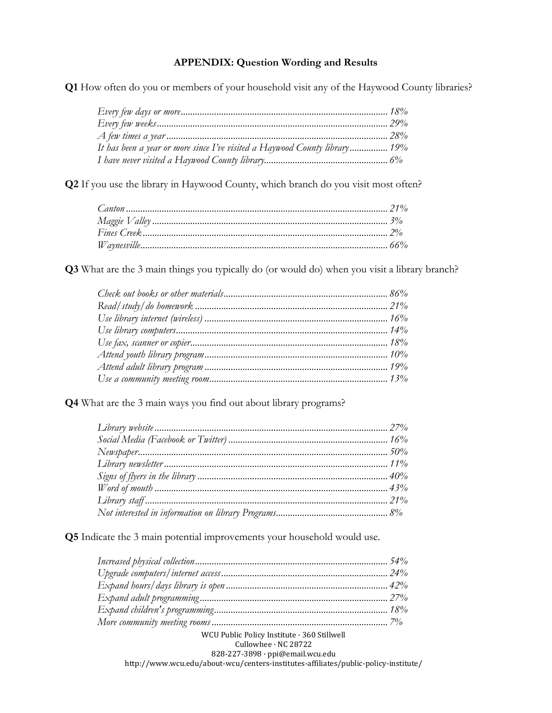#### **APPENDIX: Question Wording and Results**

**Q1** How often do you or members of your household visit any of the Haywood County libraries?

| It has been a year or more since I've visited a Haywood County library 19% |  |
|----------------------------------------------------------------------------|--|
|                                                                            |  |

**Q2** If you use the library in Haywood County, which branch do you visit most often?

**Q3** What are the 3 main things you typically do (or would do) when you visit a library branch?

**Q4** What are the 3 main ways you find out about library programs?

**Q5** Indicate the 3 main potential improvements your household would use.

| WCU Public Policy Institute · 360 Stillwell                                         |  |
|-------------------------------------------------------------------------------------|--|
| Cullowhee · NC 28722                                                                |  |
| 828-227-3898 · ppi@email.wcu.edu                                                    |  |
| http://www.wcu.edu/about-wcu/centers-institutes-affiliates/public-policy-institute/ |  |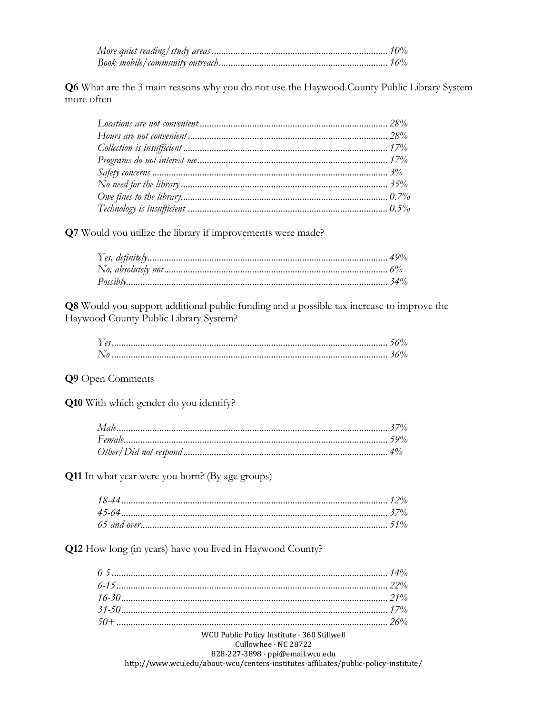Q6 What are the 3 main reasons why you do not use the Haywood County Public Library System more often

Q7 Would you utilize the library if improvements were made?

Q8 Would you support additional public funding and a possible tax increase to improve the Haywood County Public Library System?

#### Q9 Open Comments

Q10 With which gender do you identify?

Q11 In what year were you born? (By age groups)

Q12 How long (in years) have you lived in Haywood County?

| WCU Public Policy Institute · 360 Stillwell                                                                                                                                                                                       |  |
|-----------------------------------------------------------------------------------------------------------------------------------------------------------------------------------------------------------------------------------|--|
| $Cullowhee \cdot NC$ 28722                                                                                                                                                                                                        |  |
| 828-227-3898 · ppi@email.wcu.edu                                                                                                                                                                                                  |  |
| $\frac{620}{221}$ 30% ppecular weally dependent to the contract of the contract of the contract of the contract of the contract of the contract of the contract of the contract of the contract of the contract of the contract o |  |

http://www.wcu.edu/about-wcu/centers-institutes-affiliates/public-policy-institute/